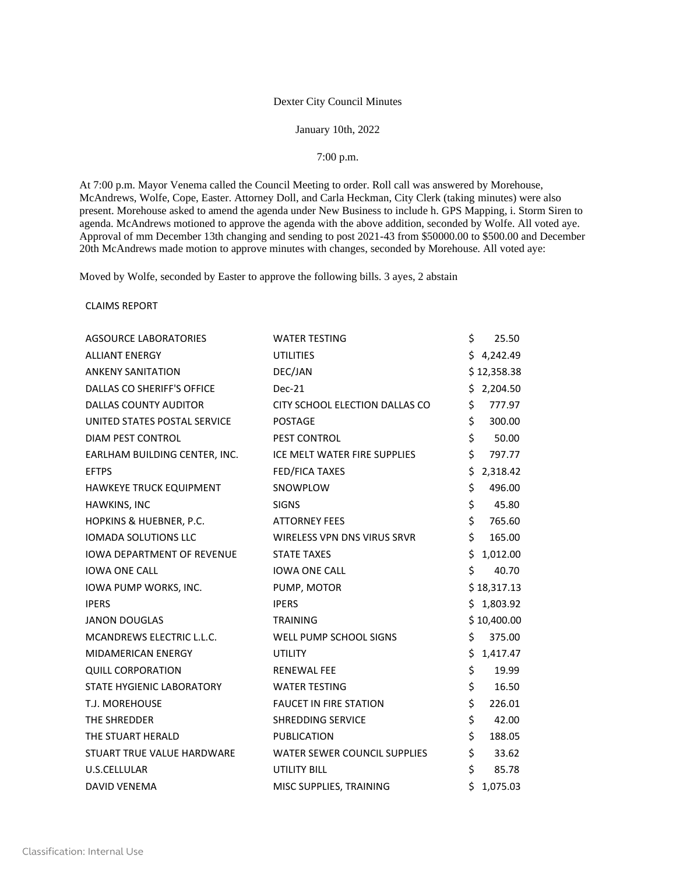## Dexter City Council Minutes

## January 10th, 2022

## 7:00 p.m.

At 7:00 p.m. Mayor Venema called the Council Meeting to order. Roll call was answered by Morehouse, McAndrews, Wolfe, Cope, Easter. Attorney Doll, and Carla Heckman, City Clerk (taking minutes) were also present. Morehouse asked to amend the agenda under New Business to include h. GPS Mapping, i. Storm Siren to agenda. McAndrews motioned to approve the agenda with the above addition, seconded by Wolfe. All voted aye. Approval of mm December 13th changing and sending to post 2021-43 from \$50000.00 to \$500.00 and December 20th McAndrews made motion to approve minutes with changes, seconded by Morehouse. All voted aye:

Moved by Wolfe, seconded by Easter to approve the following bills. 3 ayes, 2 abstain

CLAIMS REPORT

| <b>AGSOURCE LABORATORIES</b>      | <b>WATER TESTING</b>           | \$<br>25.50    |
|-----------------------------------|--------------------------------|----------------|
| <b>ALLIANT ENERGY</b>             | <b>UTILITIES</b>               | \$4,242.49     |
| <b>ANKENY SANITATION</b>          | DEC/JAN                        | \$12,358.38    |
| DALLAS CO SHERIFF'S OFFICE        | Dec-21                         | \$2,204.50     |
| <b>DALLAS COUNTY AUDITOR</b>      | CITY SCHOOL ELECTION DALLAS CO | \$<br>777.97   |
| UNITED STATES POSTAL SERVICE      | <b>POSTAGE</b>                 | \$<br>300.00   |
| <b>DIAM PEST CONTROL</b>          | PEST CONTROL                   | \$<br>50.00    |
| EARLHAM BUILDING CENTER, INC.     | ICE MELT WATER FIRE SUPPLIES   | \$<br>797.77   |
| <b>EFTPS</b>                      | FED/FICA TAXES                 | \$<br>2,318.42 |
| HAWKEYE TRUCK EQUIPMENT           | SNOWPLOW                       | \$<br>496.00   |
| HAWKINS, INC                      | <b>SIGNS</b>                   | \$<br>45.80    |
| HOPKINS & HUEBNER, P.C.           | <b>ATTORNEY FEES</b>           | \$<br>765.60   |
| <b>IOMADA SOLUTIONS LLC</b>       | WIRELESS VPN DNS VIRUS SRVR    | \$<br>165.00   |
| <b>IOWA DEPARTMENT OF REVENUE</b> | <b>STATE TAXES</b>             | \$<br>1,012.00 |
| <b>IOWA ONE CALL</b>              | <b>IOWA ONE CALL</b>           | \$<br>40.70    |
| IOWA PUMP WORKS, INC.             | PUMP, MOTOR                    | \$18,317.13    |
| <b>IPERS</b>                      | <b>IPERS</b>                   | \$1,803.92     |
| <b>JANON DOUGLAS</b>              | <b>TRAINING</b>                | \$10,400.00    |
| MCANDREWS ELECTRIC L.L.C.         | WELL PUMP SCHOOL SIGNS         | \$<br>375.00   |
| <b>MIDAMERICAN ENERGY</b>         | <b>UTILITY</b>                 | \$<br>1,417.47 |
| <b>QUILL CORPORATION</b>          | <b>RENEWAL FEE</b>             | \$<br>19.99    |
| STATE HYGIENIC LABORATORY         | <b>WATER TESTING</b>           | \$<br>16.50    |
| T.J. MOREHOUSE                    | <b>FAUCET IN FIRE STATION</b>  | \$<br>226.01   |
| THE SHREDDER                      | SHREDDING SERVICE              | \$<br>42.00    |
| THE STUART HERALD                 | <b>PUBLICATION</b>             | \$<br>188.05   |
| STUART TRUE VALUE HARDWARE        | WATER SEWER COUNCIL SUPPLIES   | \$<br>33.62    |
| U.S.CELLULAR                      | <b>UTILITY BILL</b>            | \$<br>85.78    |
| <b>DAVID VENEMA</b>               | MISC SUPPLIES, TRAINING        | \$<br>1,075.03 |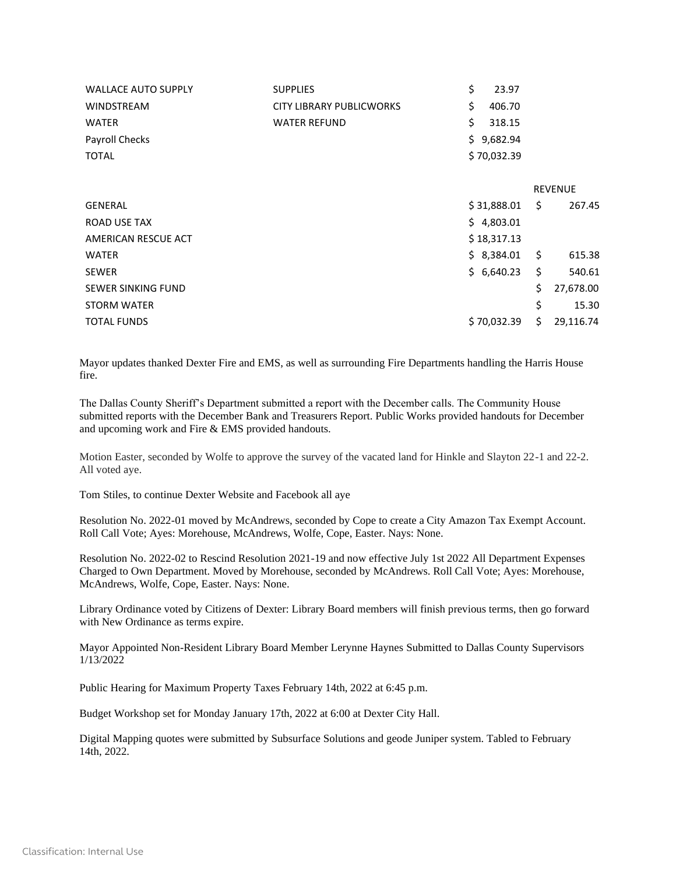|                                                                      | <b>REVENUE</b>                                                        |
|----------------------------------------------------------------------|-----------------------------------------------------------------------|
| \$                                                                   | 267.45                                                                |
|                                                                      |                                                                       |
|                                                                      |                                                                       |
| $\ddot{\mathsf{s}}$                                                  | 615.38                                                                |
| \$                                                                   | 540.61                                                                |
| \$                                                                   | 27,678.00                                                             |
| \$                                                                   | 15.30                                                                 |
| Ś.                                                                   | 29,116.74                                                             |
| 23.97<br>406.70<br>318.15<br>\$9,682.94<br>\$4,803.01<br>\$18,317.13 | \$70,032.39<br>\$31,888.01<br>\$3,384.01<br>\$6,640.23<br>\$70,032.39 |

Mayor updates thanked Dexter Fire and EMS, as well as surrounding Fire Departments handling the Harris House fire.

The Dallas County Sheriff's Department submitted a report with the December calls. The Community House submitted reports with the December Bank and Treasurers Report. Public Works provided handouts for December and upcoming work and Fire & EMS provided handouts.

Motion Easter, seconded by Wolfe to approve the survey of the vacated land for Hinkle and Slayton 22-1 and 22-2. All voted aye.

Tom Stiles, to continue Dexter Website and Facebook all aye

Resolution No. 2022-01 moved by McAndrews, seconded by Cope to create a City Amazon Tax Exempt Account. Roll Call Vote; Ayes: Morehouse, McAndrews, Wolfe, Cope, Easter. Nays: None.

Resolution No. 2022-02 to Rescind Resolution 2021-19 and now effective July 1st 2022 All Department Expenses Charged to Own Department. Moved by Morehouse, seconded by McAndrews. Roll Call Vote; Ayes: Morehouse, McAndrews, Wolfe, Cope, Easter. Nays: None.

Library Ordinance voted by Citizens of Dexter: Library Board members will finish previous terms, then go forward with New Ordinance as terms expire.

Mayor Appointed Non-Resident Library Board Member Lerynne Haynes Submitted to Dallas County Supervisors 1/13/2022

Public Hearing for Maximum Property Taxes February 14th, 2022 at 6:45 p.m.

Budget Workshop set for Monday January 17th, 2022 at 6:00 at Dexter City Hall.

Digital Mapping quotes were submitted by Subsurface Solutions and geode Juniper system. Tabled to February 14th, 2022.